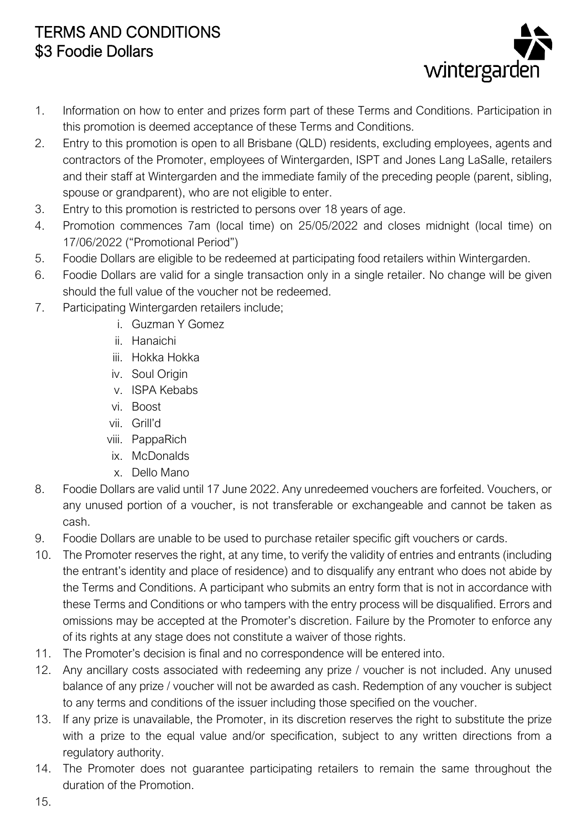## TERMS AND CONDITIONS \$3 Foodie Dollars



- 1. Information on how to enter and prizes form part of these Terms and Conditions. Participation in this promotion is deemed acceptance of these Terms and Conditions.
- 2. Entry to this promotion is open to all Brisbane (QLD) residents, excluding employees, agents and contractors of the Promoter, employees of Wintergarden, ISPT and Jones Lang LaSalle, retailers and their staff at Wintergarden and the immediate family of the preceding people (parent, sibling, spouse or grandparent), who are not eligible to enter.
- 3. Entry to this promotion is restricted to persons over 18 years of age.
- 4. Promotion commences 7am (local time) on 25/05/2022 and closes midnight (local time) on 17/06/2022 ("Promotional Period")
- 5. Foodie Dollars are eligible to be redeemed at participating food retailers within Wintergarden.
- 6. Foodie Dollars are valid for a single transaction only in a single retailer. No change will be given should the full value of the voucher not be redeemed.
- 7. Participating Wintergarden retailers include;
	- i. Guzman Y Gomez
		- ii. Hanaichi
		- iii. Hokka Hokka
		- iv. Soul Origin
		- v. ISPA Kebabs
		- vi. Boost
		- vii. Grill'd
		- viii. PappaRich
		- ix. McDonalds
		- x. Dello Mano
- 8. Foodie Dollars are valid until 17 June 2022. Any unredeemed vouchers are forfeited. Vouchers, or any unused portion of a voucher, is not transferable or exchangeable and cannot be taken as cash.
- 9. Foodie Dollars are unable to be used to purchase retailer specific gift vouchers or cards.
- 10. The Promoter reserves the right, at any time, to verify the validity of entries and entrants (including the entrant's identity and place of residence) and to disqualify any entrant who does not abide by the Terms and Conditions. A participant who submits an entry form that is not in accordance with these Terms and Conditions or who tampers with the entry process will be disqualified. Errors and omissions may be accepted at the Promoter's discretion. Failure by the Promoter to enforce any of its rights at any stage does not constitute a waiver of those rights.
- 11. The Promoter's decision is final and no correspondence will be entered into.
- 12. Any ancillary costs associated with redeeming any prize / voucher is not included. Any unused balance of any prize / voucher will not be awarded as cash. Redemption of any voucher is subject to any terms and conditions of the issuer including those specified on the voucher.
- 13. If any prize is unavailable, the Promoter, in its discretion reserves the right to substitute the prize with a prize to the equal value and/or specification, subject to any written directions from a regulatory authority.
- 14. The Promoter does not guarantee participating retailers to remain the same throughout the duration of the Promotion.